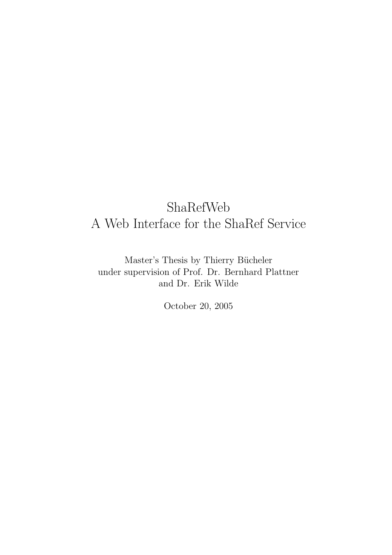## ShaRefWeb A Web Interface for the ShaRef Service

Master's Thesis by Thierry Bücheler under supervision of Prof. Dr. Bernhard Plattner and Dr. Erik Wilde

October 20, 2005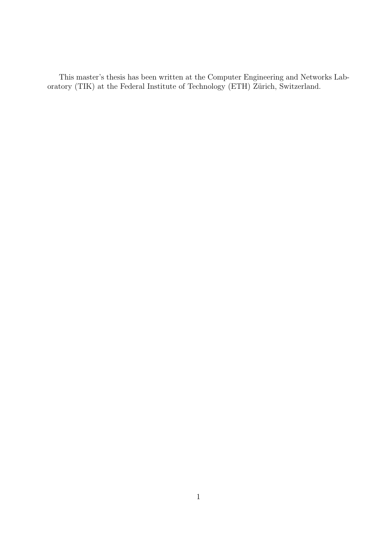This master's thesis has been written at the Computer Engineering and Networks Laboratory (TIK) at the Federal Institute of Technology (ETH) Zürich, Switzerland.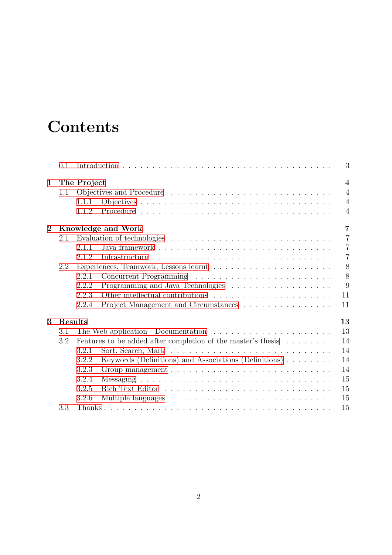## **Contents**

|                  | 0.1     |             |                                                                                             |  |  |  |  |  |  |  | 3              |
|------------------|---------|-------------|---------------------------------------------------------------------------------------------|--|--|--|--|--|--|--|----------------|
| $\mathbf{1}$     |         | The Project |                                                                                             |  |  |  |  |  |  |  | $\overline{4}$ |
|                  | 1.1     |             |                                                                                             |  |  |  |  |  |  |  | $\overline{4}$ |
|                  |         | 1.1.1       |                                                                                             |  |  |  |  |  |  |  | $\overline{4}$ |
|                  |         | 1.1.2       |                                                                                             |  |  |  |  |  |  |  | $\overline{4}$ |
| $\boldsymbol{2}$ |         |             | Knowledge and Work                                                                          |  |  |  |  |  |  |  | $\overline{7}$ |
|                  | 2.1     |             | Evaluation of technologies $\ldots \ldots \ldots \ldots \ldots \ldots \ldots \ldots \ldots$ |  |  |  |  |  |  |  | $\overline{7}$ |
|                  |         | 2.1.1       |                                                                                             |  |  |  |  |  |  |  | $\overline{7}$ |
|                  |         | 2.1.2       |                                                                                             |  |  |  |  |  |  |  | $\overline{7}$ |
|                  | 2.2     |             |                                                                                             |  |  |  |  |  |  |  | 8              |
|                  |         | 2.2.1       |                                                                                             |  |  |  |  |  |  |  | 8              |
|                  |         | 2.2.2       | Programming and Java Technologies                                                           |  |  |  |  |  |  |  | 9              |
|                  |         | 2.2.3       |                                                                                             |  |  |  |  |  |  |  | 11             |
|                  |         | 2.2.4       | Project Management and Circumstances $\ldots \ldots \ldots \ldots \ldots$                   |  |  |  |  |  |  |  | 11             |
| 3                | Results |             |                                                                                             |  |  |  |  |  |  |  | 13             |
|                  | 3.1     |             |                                                                                             |  |  |  |  |  |  |  | 13             |
|                  | 3.2     |             | Features to be added after completion of the master's thesis                                |  |  |  |  |  |  |  | 14             |
|                  |         | 3.2.1       |                                                                                             |  |  |  |  |  |  |  | 14             |
|                  |         | 3.2.2       | Keywords (Definitions) and Associations (Definitions)                                       |  |  |  |  |  |  |  | 14             |
|                  |         | 3.2.3       |                                                                                             |  |  |  |  |  |  |  | 14             |
|                  |         | 3.2.4       |                                                                                             |  |  |  |  |  |  |  | 15             |
|                  |         | 3.2.5       |                                                                                             |  |  |  |  |  |  |  | 15             |
|                  |         | 3.2.6       |                                                                                             |  |  |  |  |  |  |  | 15             |
|                  | 3.3     |             |                                                                                             |  |  |  |  |  |  |  | 15             |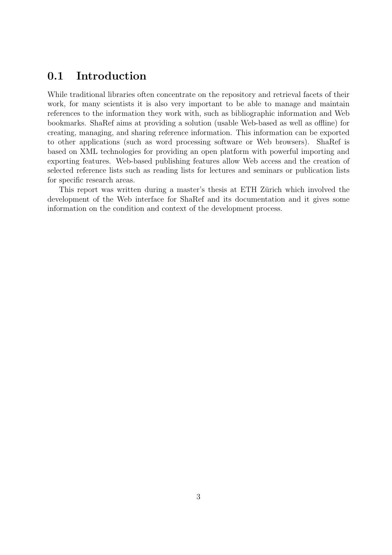### <span id="page-3-0"></span>0.1 Introduction

While traditional libraries often concentrate on the repository and retrieval facets of their work, for many scientists it is also very important to be able to manage and maintain references to the information they work with, such as bibliographic information and Web bookmarks. ShaRef aims at providing a solution (usable Web-based as well as offline) for creating, managing, and sharing reference information. This information can be exported to other applications (such as word processing software or Web browsers). ShaRef is based on XML technologies for providing an open platform with powerful importing and exporting features. Web-based publishing features allow Web access and the creation of selected reference lists such as reading lists for lectures and seminars or publication lists for specific research areas.

This report was written during a master's thesis at ETH Zürich which involved the development of the Web interface for ShaRef and its documentation and it gives some information on the condition and context of the development process.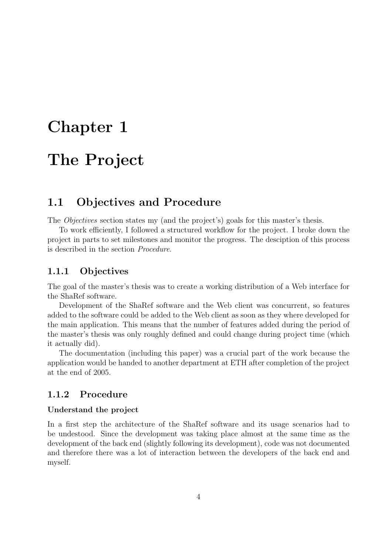# <span id="page-4-0"></span>Chapter 1 The Project

### <span id="page-4-1"></span>1.1 Objectives and Procedure

The Objectives section states my (and the project's) goals for this master's thesis.

To work efficiently, I followed a structured workflow for the project. I broke down the project in parts to set milestones and monitor the progress. The desciption of this process is described in the section Procedure.

#### <span id="page-4-2"></span>1.1.1 Objectives

The goal of the master's thesis was to create a working distribution of a Web interface for the ShaRef software.

Development of the ShaRef software and the Web client was concurrent, so features added to the software could be added to the Web client as soon as they where developed for the main application. This means that the number of features added during the period of the master's thesis was only roughly defined and could change during project time (which it actually did).

The documentation (including this paper) was a crucial part of the work because the application would be handed to another department at ETH after completion of the project at the end of 2005.

#### <span id="page-4-3"></span>1.1.2 Procedure

#### Understand the project

In a first step the architecture of the ShaRef software and its usage scenarios had to be undestood. Since the development was taking place almost at the same time as the development of the back end (slightly following its development), code was not documented and therefore there was a lot of interaction between the developers of the back end and myself.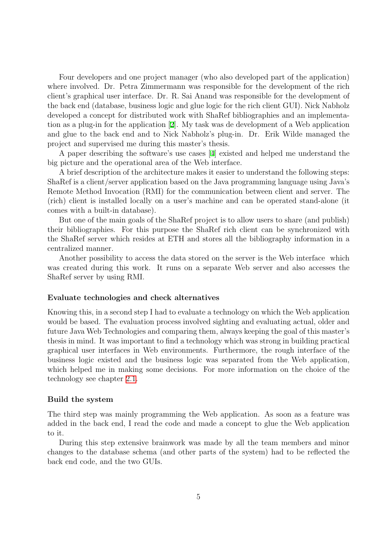Four developers and one project manager (who also developed part of the application) where involved. Dr. Petra Zimmermann was responsible for the development of the rich client's graphical user interface. Dr. R. Sai Anand was responsible for the development of the back end (database, business logic and glue logic for the rich client GUI). Nick Nabholz developed a concept for distributed work with ShaRef bibliographies and an implementation as a plug-in for the application[[2\]](#page-16-0). My task was de development of a Web application and glue to the back end and to Nick Nabholz's plug-in. Dr. Erik Wilde managed the project and supervised me during this master's thesis.

A paper describing the software's use cases[[4\]](#page-16-1) existed and helped me understand the big picture and the operational area of the Web interface.

A brief description of the architecture makes it easier to understand the following steps: ShaRef is a client/server application based on the Java programming language using Java's Remote Method Invocation (RMI) for the communication between client and server. The (rich) client is installed locally on a user's machine and can be operated stand-alone (it comes with a built-in database).

But one of the main goals of the ShaRef project is to allow users to share (and publish) their bibliographies. For this purpose the ShaRef rich client can be synchronized with the ShaRef server which resides at ETH and stores all the bibliography information in a centralized manner.

Another possibility to access the data stored on the server is the Web interface which was created during this work. It runs on a separate Web server and also accesses the ShaRef server by using RMI.

#### Evaluate technologies and check alternatives

Knowing this, in a second step I had to evaluate a technology on which the Web application would be based. The evaluation process involved sighting and evaluating actual, older and future Java Web Technologies and comparing them, always keeping the goal of this master's thesis in mind. It was important to find a technology which was strong in building practical graphical user interfaces in Web environments. Furthermore, the rough interface of the business logic existed and the business logic was separated from the Web application, which helped me in making some decisions. For more information on the choice of the technology see chapter [2.1](#page-7-1).

#### Build the system

The third step was mainly programming the Web application. As soon as a feature was added in the back end, I read the code and made a concept to glue the Web application to it.

During this step extensive brainwork was made by all the team members and minor changes to the database schema (and other parts of the system) had to be reflected the back end code, and the two GUIs.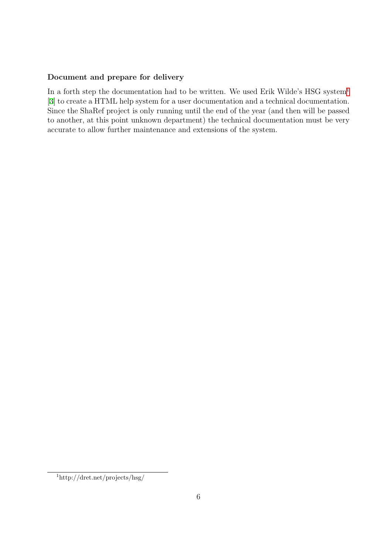#### Document and prepare for delivery

In a forth step the documentation had to be written. We used Erik Wilde's HSG system<sup>[1](#page-6-0)</sup> [\[3](#page-16-2)] to create a HTML help system for a user documentation and a technical documentation. Since the ShaRef project is only running until the end of the year (and then will be passed to another, at this point unknown department) the technical documentation must be very accurate to allow further maintenance and extensions of the system.

<span id="page-6-0"></span><sup>1</sup>http://dret.net/projects/hsg/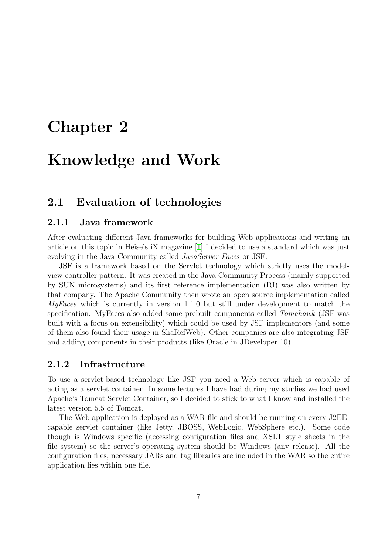## <span id="page-7-0"></span>Chapter 2

## Knowledge and Work

### <span id="page-7-1"></span>2.1 Evaluation of technologies

#### <span id="page-7-2"></span>2.1.1 Java framework

After evaluating different Java frameworks for building Web applications and writing an article on this topic in Heise's iX magazine [\[1](#page-16-3)] I decided to use a standard which was just evolving in the Java Community called *JavaServer Faces* or JSF.

JSF is a framework based on the Servlet technology which strictly uses the modelview-controller pattern. It was created in the Java Community Process (mainly supported by SUN microsystems) and its first reference implementation (RI) was also written by that company. The Apache Community then wrote an open source implementation called MyFaces which is currently in version 1.1.0 but still under development to match the specification. MyFaces also added some prebuilt components called Tomahawk (JSF was built with a focus on extensibility) which could be used by JSF implementors (and some of them also found their usage in ShaRefWeb). Other companies are also integrating JSF and adding components in their products (like Oracle in JDeveloper 10).

#### <span id="page-7-3"></span>2.1.2 Infrastructure

To use a servlet-based technology like JSF you need a Web server which is capable of acting as a servlet container. In some lectures I have had during my studies we had used Apache's Tomcat Servlet Container, so I decided to stick to what I know and installed the latest version 5.5 of Tomcat.

The Web application is deployed as a WAR file and should be running on every J2EEcapable servlet container (like Jetty, JBOSS, WebLogic, WebSphere etc.). Some code though is Windows specific (accessing configuration files and XSLT style sheets in the file system) so the server's operating system should be Windows (any release). All the configuration files, necessary JARs and tag libraries are included in the WAR so the entire application lies within one file.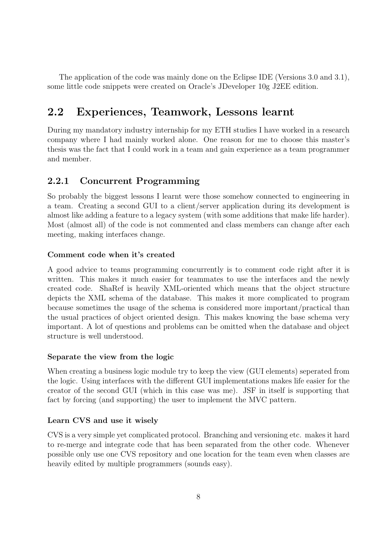The application of the code was mainly done on the Eclipse IDE (Versions 3.0 and 3.1), some little code snippets were created on Oracle's JDeveloper 10g J2EE edition.

### <span id="page-8-0"></span>2.2 Experiences, Teamwork, Lessons learnt

During my mandatory industry internship for my ETH studies I have worked in a research company where I had mainly worked alone. One reason for me to choose this master's thesis was the fact that I could work in a team and gain experience as a team programmer and member.

### <span id="page-8-1"></span>2.2.1 Concurrent Programming

So probably the biggest lessons I learnt were those somehow connected to engineering in a team. Creating a second GUI to a client/server application during its development is almost like adding a feature to a legacy system (with some additions that make life harder). Most (almost all) of the code is not commented and class members can change after each meeting, making interfaces change.

#### Comment code when it's created

A good advice to teams programming concurrently is to comment code right after it is written. This makes it much easier for teammates to use the interfaces and the newly created code. ShaRef is heavily XML-oriented which means that the object structure depicts the XML schema of the database. This makes it more complicated to program because sometimes the usage of the schema is considered more important/practical than the usual practices of object oriented design. This makes knowing the base schema very important. A lot of questions and problems can be omitted when the database and object structure is well understood.

#### Separate the view from the logic

When creating a business logic module try to keep the view (GUI elements) seperated from the logic. Using interfaces with the different GUI implementations makes life easier for the creator of the second GUI (which in this case was me). JSF in itself is supporting that fact by forcing (and supporting) the user to implement the MVC pattern.

#### Learn CVS and use it wisely

CVS is a very simple yet complicated protocol. Branching and versioning etc. makes it hard to re-merge and integrate code that has been separated from the other code. Whenever possible only use one CVS repository and one location for the team even when classes are heavily edited by multiple programmers (sounds easy).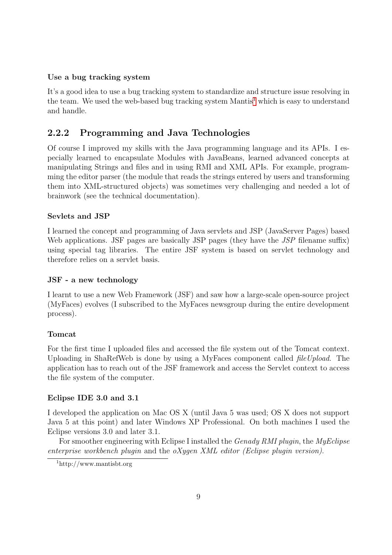#### Use a bug tracking system

It's a good idea to use a bug tracking system to standardize and structure issue resolving in the team. We used the web-based bug tracking system Mantis<sup>[1](#page-9-1)</sup> which is easy to understand and handle.

#### <span id="page-9-0"></span>2.2.2 Programming and Java Technologies

Of course I improved my skills with the Java programming language and its APIs. I especially learned to encapsulate Modules with JavaBeans, learned advanced concepts at manipulating Strings and files and in using RMI and XML APIs. For example, programming the editor parser (the module that reads the strings entered by users and transforming them into XML-structured objects) was sometimes very challenging and needed a lot of brainwork (see the technical documentation).

#### Sevlets and JSP

I learned the concept and programming of Java servlets and JSP (JavaServer Pages) based Web applications. JSF pages are basically JSP pages (they have the *JSP* filename suffix) using special tag libraries. The entire JSF system is based on servlet technology and therefore relies on a servlet basis.

#### JSF - a new technology

I learnt to use a new Web Framework (JSF) and saw how a large-scale open-source project (MyFaces) evolves (I subscribed to the MyFaces newsgroup during the entire development process).

#### Tomcat

For the first time I uploaded files and accessed the file system out of the Tomcat context. Uploading in ShaRefWeb is done by using a MyFaces component called *fileUpload*. The application has to reach out of the JSF framework and access the Servlet context to access the file system of the computer.

#### Eclipse IDE 3.0 and 3.1

I developed the application on Mac OS X (until Java 5 was used; OS X does not support Java 5 at this point) and later Windows XP Professional. On both machines I used the Eclipse versions 3.0 and later 3.1.

For smoother engineering with Eclipse I installed the *Genady RMI plugin*, the *MyEclipse* enterprise workbench plugin and the  $oX$ ygen XML editor (Eclipse plugin version).

<span id="page-9-1"></span><sup>1</sup>http://www.mantisbt.org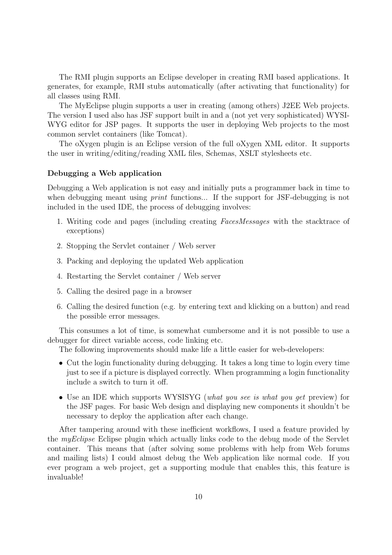The RMI plugin supports an Eclipse developer in creating RMI based applications. It generates, for example, RMI stubs automatically (after activating that functionality) for all classes using RMI.

The MyEclipse plugin supports a user in creating (among others) J2EE Web projects. The version I used also has JSF support built in and a (not yet very sophisticated) WYSI-WYG editor for JSP pages. It supports the user in deploying Web projects to the most common servlet containers (like Tomcat).

The oXygen plugin is an Eclipse version of the full oXygen XML editor. It supports the user in writing/editing/reading XML files, Schemas, XSLT stylesheets etc.

#### Debugging a Web application

Debugging a Web application is not easy and initially puts a programmer back in time to when debugging meant using *print* functions... If the support for JSF-debugging is not included in the used IDE, the process of debugging involves:

- 1. Writing code and pages (including creating FacesMessages with the stacktrace of exceptions)
- 2. Stopping the Servlet container / Web server
- 3. Packing and deploying the updated Web application
- 4. Restarting the Servlet container / Web server
- 5. Calling the desired page in a browser
- 6. Calling the desired function (e.g. by entering text and klicking on a button) and read the possible error messages.

This consumes a lot of time, is somewhat cumbersome and it is not possible to use a debugger for direct variable access, code linking etc.

The following improvements should make life a little easier for web-developers:

- Cut the login functionality during debugging. It takes a long time to login every time just to see if a picture is displayed correctly. When programming a login functionality include a switch to turn it off.
- Use an IDE which supports WYSISYG (what you see is what you get preview) for the JSF pages. For basic Web design and displaying new components it shouldn't be necessary to deploy the application after each change.

After tampering around with these inefficient workflows, I used a feature provided by the myEclipse Eclipse plugin which actually links code to the debug mode of the Servlet container. This means that (after solving some problems with help from Web forums and mailing lists) I could almost debug the Web application like normal code. If you ever program a web project, get a supporting module that enables this, this feature is invaluable!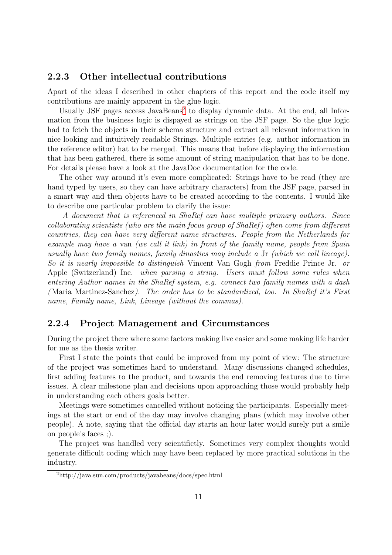#### <span id="page-11-0"></span>2.2.3 Other intellectual contributions

Apart of the ideas I described in other chapters of this report and the code itself my contributions are mainly apparent in the glue logic.

Usually JSF pages access JavaBeans<sup>[2](#page-11-2)</sup> to display dynamic data. At the end, all Information from the business logic is dispayed as strings on the JSF page. So the glue logic had to fetch the objects in their schema structure and extract all relevant information in nice looking and intuitively readable Strings. Multiple entries (e.g. author information in the reference editor) hat to be merged. This means that before displaying the information that has been gathered, there is some amount of string manipulation that has to be done. For details please have a look at the JavaDoc documentation for the code.

The other way around it's even more complicated: Strings have to be read (they are hand typed by users, so they can have arbitrary characters) from the JSF page, parsed in a smart way and then objects have to be created according to the contents. I would like to describe one particular problem to clarify the issue:

A document that is referenced in ShaRef can have multiple primary authors. Since collaborating scientists (who are the main focus group of ShaRef) often come from different countries, they can have very different name structures. People from the Netherlands for example may have a van (we call it link) in front of the family name, people from Spain usually have two family names, family dinasties may include a Jr (which we call lineage). So it is nearly impossible to distinguish Vincent Van Gogh from Freddie Prince Jr. or Apple (Switzerland) Inc. when parsing a string. Users must follow some rules when entering Author names in the ShaRef system, e.g. connect two family names with a dash ( Maria Martinez-Sanchez). The order has to be standardized, too. In ShaRef it's First name, Family name, Link, Lineage (without the commas).

#### <span id="page-11-1"></span>2.2.4 Project Management and Circumstances

During the project there where some factors making live easier and some making life harder for me as the thesis writer.

First I state the points that could be improved from my point of view: The structure of the project was sometimes hard to understand. Many discussions changed schedules, first adding features to the product, and towards the end removing features due to time issues. A clear milestone plan and decisions upon approaching those would probably help in understanding each others goals better.

Meetings were sometimes cancelled without noticing the participants. Especially meetings at the start or end of the day may involve changing plans (which may involve other people). A note, saying that the official day starts an hour later would surely put a smile on people's faces ;).

The project was handled very scientifictly. Sometimes very complex thoughts would generate difficult coding which may have been replaced by more practical solutions in the industry.

<span id="page-11-2"></span><sup>2</sup>http://java.sun.com/products/javabeans/docs/spec.html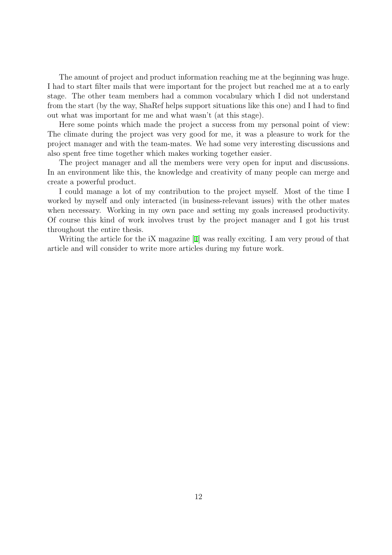The amount of project and product information reaching me at the beginning was huge. I had to start filter mails that were important for the project but reached me at a to early stage. The other team members had a common vocabulary which I did not understand from the start (by the way, ShaRef helps support situations like this one) and I had to find out what was important for me and what wasn't (at this stage).

Here some points which made the project a success from my personal point of view: The climate during the project was very good for me, it was a pleasure to work for the project manager and with the team-mates. We had some very interesting discussions and also spent free time together which makes working together easier.

The project manager and all the members were very open for input and discussions. In an environment like this, the knowledge and creativity of many people can merge and create a powerful product.

I could manage a lot of my contribution to the project myself. Most of the time I worked by myself and only interacted (in business-relevant issues) with the other mates when necessary. Working in my own pace and setting my goals increased productivity. Of course this kind of work involves trust by the project manager and I got his trust throughout the entire thesis.

Writing the article for the iX magazine [\[1\]](#page-16-3) was really exciting. I am very proud of that article and will consider to write more articles during my future work.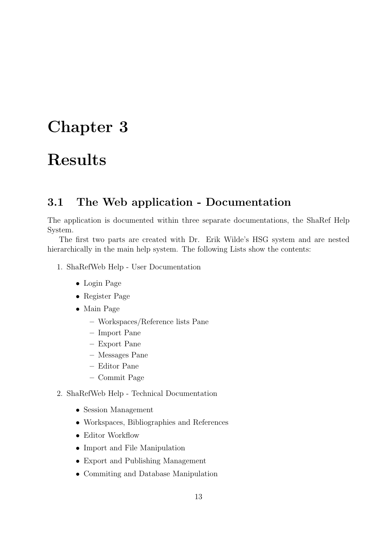## <span id="page-13-0"></span>Chapter 3

## Results

### <span id="page-13-1"></span>3.1 The Web application - Documentation

The application is documented within three separate documentations, the ShaRef Help System.

The first two parts are created with Dr. Erik Wilde's HSG system and are nested hierarchically in the main help system. The following Lists show the contents:

- 1. ShaRefWeb Help User Documentation
	- Login Page
	- Register Page
	- Main Page
		- Workspaces/Reference lists Pane
		- Import Pane
		- Export Pane
		- Messages Pane
		- Editor Pane
		- Commit Page
- 2. ShaRefWeb Help Technical Documentation
	- Session Management
	- Workspaces, Bibliographies and References
	- Editor Workflow
	- Import and File Manipulation
	- Export and Publishing Management
	- Commiting and Database Manipulation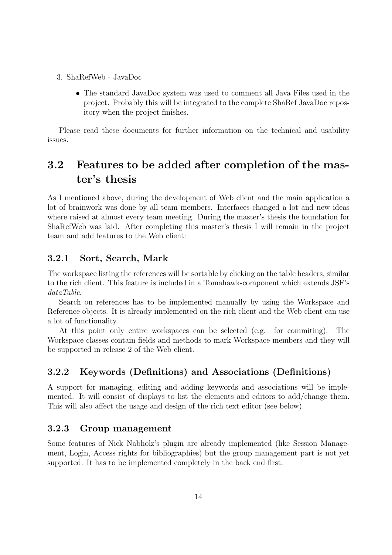- 3. ShaRefWeb JavaDoc
	- The standard JavaDoc system was used to comment all Java Files used in the project. Probably this will be integrated to the complete ShaRef JavaDoc repository when the project finishes.

Please read these documents for further information on the technical and usability issues.

## <span id="page-14-0"></span>3.2 Features to be added after completion of the master's thesis

As I mentioned above, during the development of Web client and the main application a lot of brainwork was done by all team members. Interfaces changed a lot and new ideas where raised at almost every team meeting. During the master's thesis the foundation for ShaRefWeb was laid. After completing this master's thesis I will remain in the project team and add features to the Web client:

#### <span id="page-14-1"></span>3.2.1 Sort, Search, Mark

The workspace listing the references will be sortable by clicking on the table headers, similar to the rich client. This feature is included in a Tomahawk-component which extends JSF's dataTable.

Search on references has to be implemented manually by using the Workspace and Reference objects. It is already implemented on the rich client and the Web client can use a lot of functionality.

At this point only entire workspaces can be selected (e.g. for commiting). The Workspace classes contain fields and methods to mark Workspace members and they will be supported in release 2 of the Web client.

#### <span id="page-14-2"></span>3.2.2 Keywords (Definitions) and Associations (Definitions)

A support for managing, editing and adding keywords and associations will be implemented. It will consist of displays to list the elements and editors to add/change them. This will also affect the usage and design of the rich text editor (see below).

#### <span id="page-14-3"></span>3.2.3 Group management

Some features of Nick Nabholz's plugin are already implemented (like Session Management, Login, Access rights for bibliographies) but the group management part is not yet supported. It has to be implemented completely in the back end first.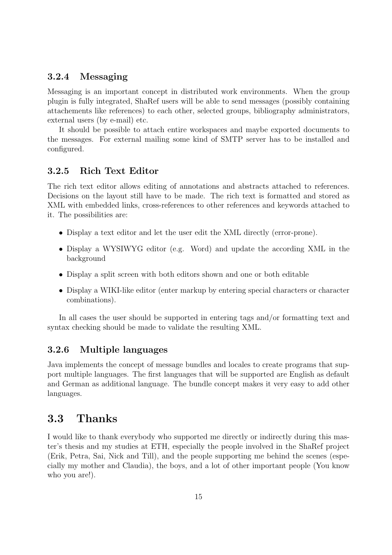#### <span id="page-15-0"></span>3.2.4 Messaging

Messaging is an important concept in distributed work environments. When the group plugin is fully integrated, ShaRef users will be able to send messages (possibly containing attachements like references) to each other, selected groups, bibliography administrators, external users (by e-mail) etc.

It should be possible to attach entire workspaces and maybe exported documents to the messages. For external mailing some kind of SMTP server has to be installed and configured.

#### <span id="page-15-1"></span>3.2.5 Rich Text Editor

The rich text editor allows editing of annotations and abstracts attached to references. Decisions on the layout still have to be made. The rich text is formatted and stored as XML with embedded links, cross-references to other references and keywords attached to it. The possibilities are:

- Display a text editor and let the user edit the XML directly (error-prone).
- Display a WYSIWYG editor (e.g. Word) and update the according XML in the background
- Display a split screen with both editors shown and one or both editable
- Display a WIKI-like editor (enter markup by entering special characters or character combinations).

In all cases the user should be supported in entering tags and/or formatting text and syntax checking should be made to validate the resulting XML.

#### <span id="page-15-2"></span>3.2.6 Multiple languages

Java implements the concept of message bundles and locales to create programs that support multiple languages. The first languages that will be supported are English as default and German as additional language. The bundle concept makes it very easy to add other languages.

### <span id="page-15-3"></span>3.3 Thanks

I would like to thank everybody who supported me directly or indirectly during this master's thesis and my studies at ETH, especially the people involved in the ShaRef project (Erik, Petra, Sai, Nick and Till), and the people supporting me behind the scenes (especially my mother and Claudia), the boys, and a lot of other important people (You know who you are!).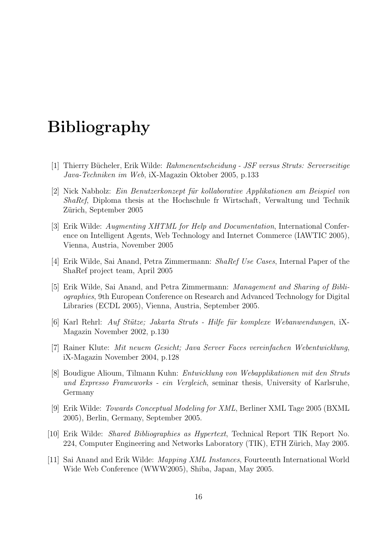## Bibliography

- <span id="page-16-3"></span>[1] Thierry Bücheler, Erik Wilde: Rahmenentscheidung - JSF versus Struts: Serverseitige Java-Techniken im Web, iX-Magazin Oktober 2005, p.133
- <span id="page-16-0"></span>[2] Nick Nabholz: Ein Benutzerkonzept für kollaborative Applikationen am Beispiel von ShaRef, Diploma thesis at the Hochschule fr Wirtschaft, Verwaltung und Technik Zürich, September 2005
- <span id="page-16-2"></span>[3] Erik Wilde: Augmenting XHTML for Help and Documentation, International Conference on Intelligent Agents, Web Technology and Internet Commerce (IAWTIC 2005), Vienna, Austria, November 2005
- <span id="page-16-1"></span>[4] Erik Wilde, Sai Anand, Petra Zimmermann: ShaRef Use Cases, Internal Paper of the ShaRef project team, April 2005
- [5] Erik Wilde, Sai Anand, and Petra Zimmermann: Management and Sharing of Bibliographies, 9th European Conference on Research and Advanced Technology for Digital Libraries (ECDL 2005), Vienna, Austria, September 2005.
- [6] Karl Rehrl: Auf Stütze; Jakarta Struts Hilfe für komplexe Webanwendungen, iX-Magazin November 2002, p.130
- [7] Rainer Klute: Mit neuem Gesicht; Java Server Faces vereinfachen Webentwicklung, iX-Magazin November 2004, p.128
- [8] Boudigue Alioum, Tilmann Kuhn: Entwicklung von Webapplikationen mit den Struts und Expresso Frameworks - ein Vergleich, seminar thesis, University of Karlsruhe, Germany
- [9] Erik Wilde: Towards Conceptual Modeling for XML, Berliner XML Tage 2005 (BXML 2005), Berlin, Germany, September 2005.
- [10] Erik Wilde: Shared Bibliographies as Hypertext, Technical Report TIK Report No. 224, Computer Engineering and Networks Laboratory (TIK), ETH Zürich, May 2005.
- [11] Sai Anand and Erik Wilde: Mapping XML Instances, Fourteenth International World Wide Web Conference (WWW2005), Shiba, Japan, May 2005.